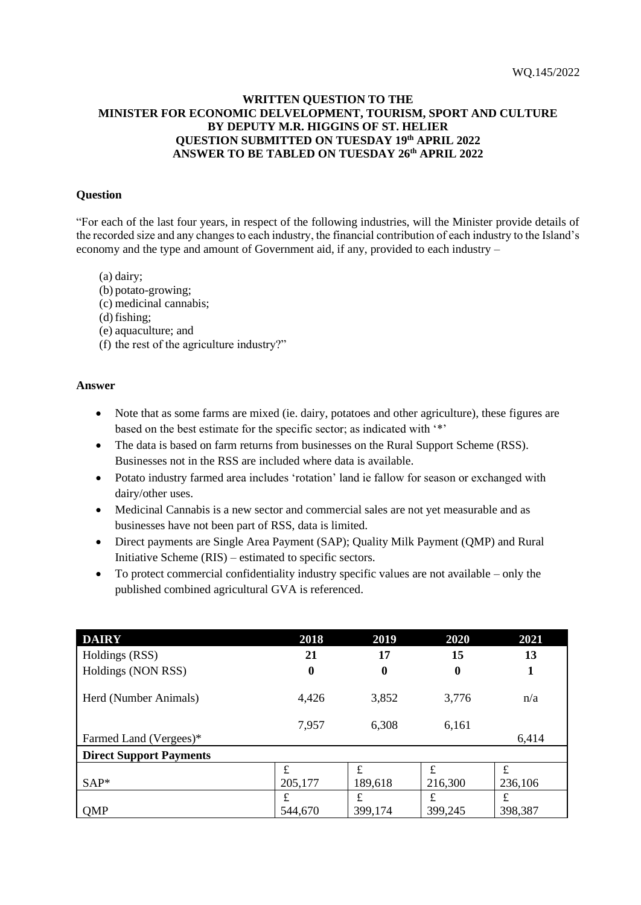# **WRITTEN QUESTION TO THE MINISTER FOR ECONOMIC DELVELOPMENT, TOURISM, SPORT AND CULTURE BY DEPUTY M.R. HIGGINS OF ST. HELIER QUESTION SUBMITTED ON TUESDAY 19th APRIL 2022 ANSWER TO BE TABLED ON TUESDAY 26th APRIL 2022**

### **Question**

"For each of the last four years, in respect of the following industries, will the Minister provide details of the recorded size and any changes to each industry, the financial contribution of each industry to the Island's economy and the type and amount of Government aid, if any, provided to each industry –

- (a) dairy;
- (b) potato-growing;
- (c) medicinal cannabis;
- $(d)$  fishing;
- (e) aquaculture; and
- (f) the rest of the agriculture industry?"

#### **Answer**

- Note that as some farms are mixed (ie. dairy, potatoes and other agriculture), these figures are based on the best estimate for the specific sector; as indicated with '\*'
- The data is based on farm returns from businesses on the Rural Support Scheme (RSS). Businesses not in the RSS are included where data is available.
- Potato industry farmed area includes 'rotation' land ie fallow for season or exchanged with dairy/other uses.
- Medicinal Cannabis is a new sector and commercial sales are not yet measurable and as businesses have not been part of RSS, data is limited.
- Direct payments are Single Area Payment (SAP); Quality Milk Payment (QMP) and Rural Initiative Scheme (RIS) – estimated to specific sectors.
- To protect commercial confidentiality industry specific values are not available only the published combined agricultural GVA is referenced.

| <b>DAIRY</b>                   | 2018      | 2019     | 2020     | 2021    |
|--------------------------------|-----------|----------|----------|---------|
| Holdings (RSS)                 | 21        | 17       | 15       | 13      |
| Holdings (NON RSS)             | 0         | $\bf{0}$ | $\bf{0}$ | 1       |
| Herd (Number Animals)          | 4,426     | 3,852    | 3,776    | n/a     |
|                                | 7,957     | 6,308    | 6,161    |         |
| Farmed Land (Vergees)*         |           |          |          | 6,414   |
| <b>Direct Support Payments</b> |           |          |          |         |
|                                | £         | £        | £        | £       |
| $SAP*$                         | 205,177   | 189,618  | 216,300  | 236,106 |
|                                | $\pounds$ | £        | £        | £       |
| QMP                            | 544,670   | 399,174  | 399,245  | 398,387 |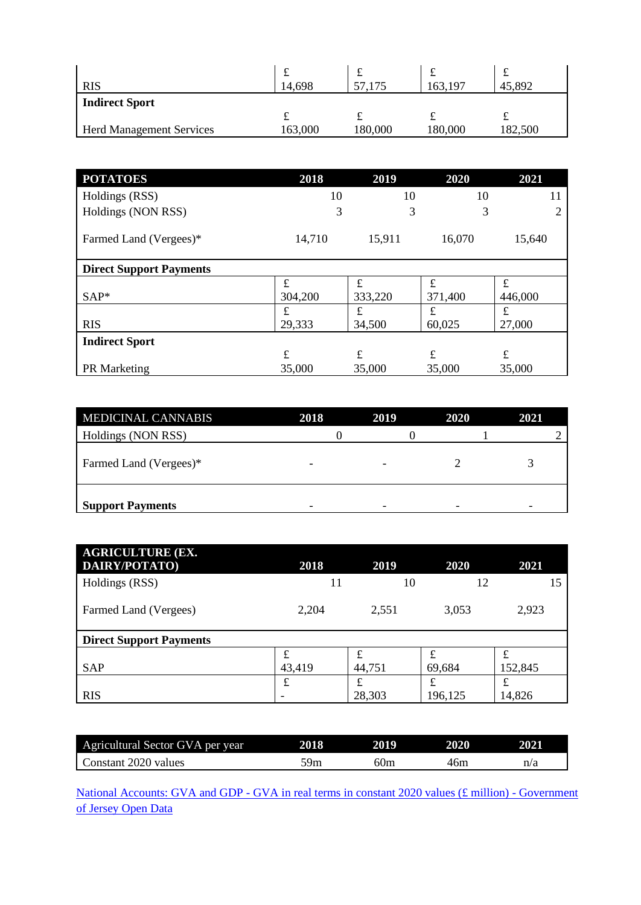| <b>RIS</b>                      | ىە<br>14,698 | ىمە<br>175 | 163,197 | - Jan<br>45,892 |
|---------------------------------|--------------|------------|---------|-----------------|
| <b>Indirect Sport</b>           |              |            |         |                 |
|                                 | ىە           |            | ∼       | ∼               |
| <b>Herd Management Services</b> | 163,000      | 180,000    | 180,000 | 182,500         |

| <b>POTATOES</b>                | 2018    | 2019    | 2020        | 2021    |
|--------------------------------|---------|---------|-------------|---------|
| Holdings (RSS)                 | 10      | 10      | 10          | 11      |
| Holdings (NON RSS)             | 3       | 3       | 3           |         |
| Farmed Land (Vergees)*         | 14,710  | 15,911  | 16,070      | 15,640  |
| <b>Direct Support Payments</b> |         |         |             |         |
|                                | £       | £       | £           | £       |
| $SAP*$                         | 304,200 | 333,220 | 371,400     | 446,000 |
|                                | £       | £       | $\mathbf f$ | £       |
| <b>RIS</b>                     | 29,333  | 34,500  | 60,025      | 27,000  |
| <b>Indirect Sport</b>          |         |         |             |         |
|                                | £       | £       | £           | £       |
| <b>PR</b> Marketing            | 35,000  | 35,000  | 35,000      | 35,000  |

| <b>MEDICINAL CANNABIS</b> | 2018                     | 2019                     | 2020 | 2021 |
|---------------------------|--------------------------|--------------------------|------|------|
| Holdings (NON RSS)        |                          |                          |      |      |
| Farmed Land (Vergees)*    | $\overline{\phantom{0}}$ | $\overline{\phantom{a}}$ |      |      |
| <b>Support Payments</b>   |                          | -                        |      |      |

| <b>AGRICULTURE (EX.</b><br>DAIRY/POTATO) | 2018   | 2019   | 2020    | 2021    |
|------------------------------------------|--------|--------|---------|---------|
| Holdings (RSS)                           | 11     | 10     | 12      | 15      |
| Farmed Land (Vergees)                    | 2,204  | 2,551  | 3,053   | 2,923   |
| <b>Direct Support Payments</b>           |        |        |         |         |
|                                          | £      | £      | £       | £       |
| <b>SAP</b>                               | 43,419 | 44,751 | 69,684  | 152,845 |
|                                          | £      | £      | £       | £       |
| <b>RIS</b>                               |        | 28,303 | 196,125 | 14,826  |

| Agricultural Sector GVA per year | 2018 | 2019 | 2020 | 2021 |
|----------------------------------|------|------|------|------|
| Constant 2020 values             | 59m  | 60m  | 46m  | n/a  |

National Accounts: GVA and GDP - [GVA in real terms in constant 2020 values \(£ million\) -](https://opendata.gov.je/dataset/national-accounts/resource/ac1769c7-b3ca-43d4-8963-951884d20b13?_gl=1*15wbwmj*_ga*MTg1MTIwNTQ0NC4xNjMzNTI4NTQ4*_ga_07GM08Q17P*MTY1MDYyNDU5Ni4xODUuMS4xNjUwNjI0Njk4LjA.) Government [of Jersey Open Data](https://opendata.gov.je/dataset/national-accounts/resource/ac1769c7-b3ca-43d4-8963-951884d20b13?_gl=1*15wbwmj*_ga*MTg1MTIwNTQ0NC4xNjMzNTI4NTQ4*_ga_07GM08Q17P*MTY1MDYyNDU5Ni4xODUuMS4xNjUwNjI0Njk4LjA.)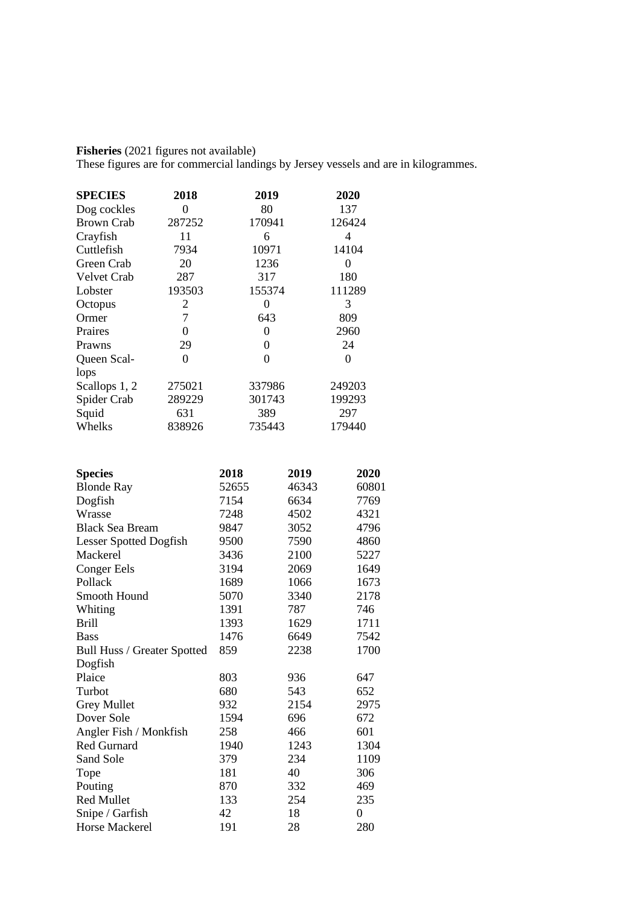**Fisheries** (2021 figures not available)

These figures are for commercial landings by Jersey vessels and are in kilogrammes.

| <b>SPECIES</b>     | 2018   | 2019   | 2020   |
|--------------------|--------|--------|--------|
| Dog cockles        | 0      | 80     | 137    |
| <b>Brown Crab</b>  | 287252 | 170941 | 126424 |
| Crayfish           | 11     | 6      | 4      |
| Cuttlefish         | 7934   | 10971  | 14104  |
| Green Crab         | 20     | 1236   | 0      |
| <b>Velvet Crab</b> | 287    | 317    | 180    |
| Lobster            | 193503 | 155374 | 111289 |
| Octopus            | 2      | 0      | 3      |
| Ormer              | 7      | 643    | 809    |
| Praires            | 0      | 0      | 2960   |
| Prawns             | 29     | 0      | 24     |
| Queen Scal-        | 0      | 0      | 0      |
| lops               |        |        |        |
| Scallops 1, 2      | 275021 | 337986 | 249203 |
| Spider Crab        | 289229 | 301743 | 199293 |
| Squid              | 631    | 389    | 297    |
| Whelks             | 838926 | 735443 | 179440 |

| <b>Species</b>                | 2018  | 2019  | 2020  |
|-------------------------------|-------|-------|-------|
| <b>Blonde Ray</b>             | 52655 | 46343 | 60801 |
| Dogfish                       | 7154  | 6634  | 7769  |
| Wrasse                        | 7248  | 4502  | 4321  |
| <b>Black Sea Bream</b>        | 9847  | 3052  | 4796  |
| <b>Lesser Spotted Dogfish</b> | 9500  | 7590  | 4860  |
| Mackerel                      | 3436  | 2100  | 5227  |
| <b>Conger Eels</b>            | 3194  | 2069  | 1649  |
| Pollack                       | 1689  | 1066  | 1673  |
| Smooth Hound                  | 5070  | 3340  | 2178  |
| Whiting                       | 1391  | 787   | 746   |
| <b>Brill</b>                  | 1393  | 1629  | 1711  |
| <b>Bass</b>                   | 1476  | 6649  | 7542  |
| Bull Huss / Greater Spotted   | 859   | 2238  | 1700  |
| Dogfish                       |       |       |       |
| Plaice                        | 803   | 936   | 647   |
| Turbot                        | 680   | 543   | 652   |
| <b>Grey Mullet</b>            | 932   | 2154  | 2975  |
| Dover Sole                    | 1594  | 696   | 672   |
| Angler Fish / Monkfish        | 258   | 466   | 601   |
| <b>Red Gurnard</b>            | 1940  | 1243  | 1304  |
| Sand Sole                     | 379   | 234   | 1109  |
| Tope                          | 181   | 40    | 306   |
| Pouting                       | 870   | 332   | 469   |
| <b>Red Mullet</b>             | 133   | 254   | 235   |
| Snipe / Garfish               | 42    | 18    | 0     |
| <b>Horse Mackerel</b>         | 191   | 28    | 280   |